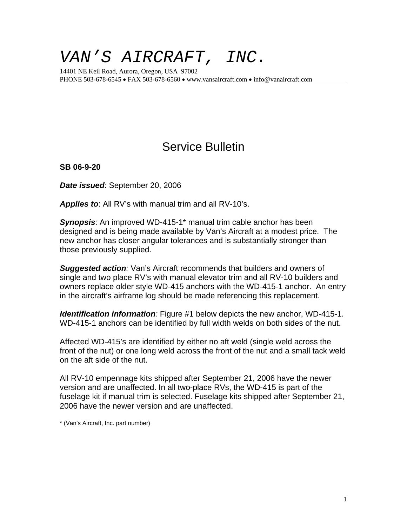## *VAN'S AIRCRAFT, INC.*

14401 NE Keil Road, Aurora, Oregon, USA 97002 PHONE 503-678-6545 • FAX 503-678-6560 • www.vansaircraft.com • info@vanaircraft.com

## Service Bulletin

**SB 06-9-20**

*Date issued*: September 20, 2006

*Applies to*: All RV's with manual trim and all RV-10's.

*Synopsis*: An improved WD-415-1\* manual trim cable anchor has been designed and is being made available by Van's Aircraft at a modest price. The new anchor has closer angular tolerances and is substantially stronger than those previously supplied.

*Suggested action:* Van's Aircraft recommends that builders and owners of single and two place RV's with manual elevator trim and all RV-10 builders and owners replace older style WD-415 anchors with the WD-415-1 anchor. An entry in the aircraft's airframe log should be made referencing this replacement.

*Identification information:* Figure #1 below depicts the new anchor, WD-415-1. WD-415-1 anchors can be identified by full width welds on both sides of the nut.

Affected WD-415's are identified by either no aft weld (single weld across the front of the nut) or one long weld across the front of the nut and a small tack weld on the aft side of the nut.

All RV-10 empennage kits shipped after September 21, 2006 have the newer version and are unaffected. In all two-place RVs, the WD-415 is part of the fuselage kit if manual trim is selected. Fuselage kits shipped after September 21, 2006 have the newer version and are unaffected.

\* (Van's Aircraft, Inc. part number)